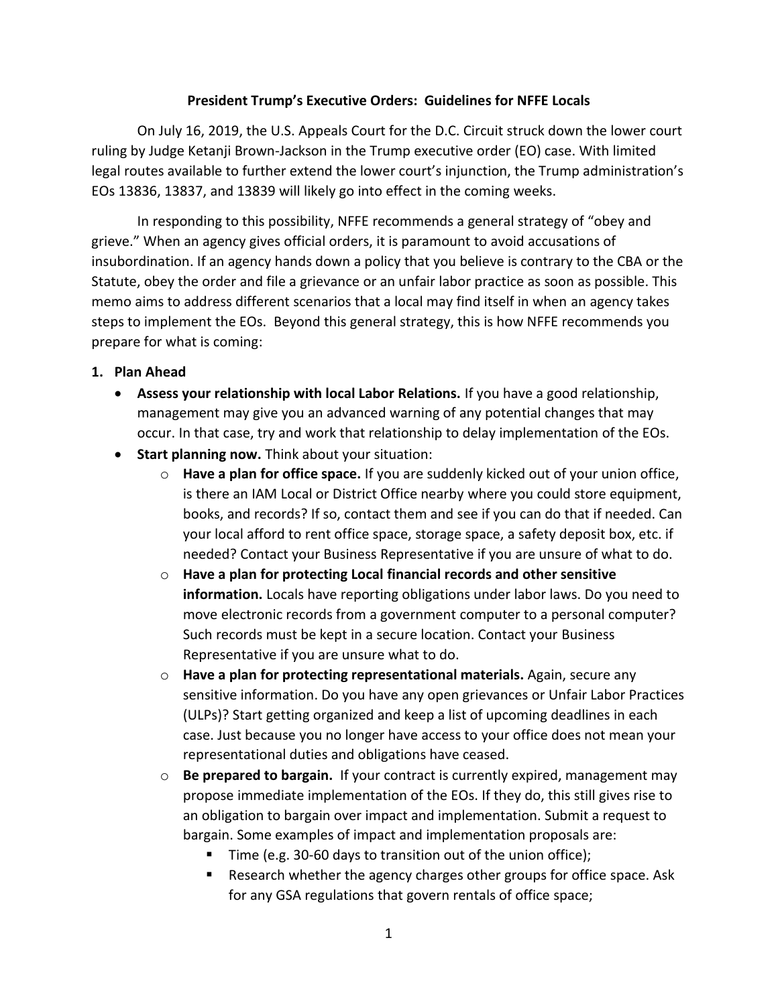## **President Trump's Executive Orders: Guidelines for NFFE Locals**

On July 16, 2019, the U.S. Appeals Court for the D.C. Circuit struck down the lower court ruling by Judge Ketanji Brown-Jackson in the Trump executive order (EO) case. With limited legal routes available to further extend the lower court's injunction, the Trump administration's EOs 13836, 13837, and 13839 will likely go into effect in the coming weeks.

In responding to this possibility, NFFE recommends a general strategy of "obey and grieve." When an agency gives official orders, it is paramount to avoid accusations of insubordination. If an agency hands down a policy that you believe is contrary to the CBA or the Statute, obey the order and file a grievance or an unfair labor practice as soon as possible. This memo aims to address different scenarios that a local may find itself in when an agency takes steps to implement the EOs. Beyond this general strategy, this is how NFFE recommends you prepare for what is coming:

## **1. Plan Ahead**

- **Assess your relationship with local Labor Relations.** If you have a good relationship, management may give you an advanced warning of any potential changes that may occur. In that case, try and work that relationship to delay implementation of the EOs.
- **Start planning now.** Think about your situation:
	- o **Have a plan for office space.** If you are suddenly kicked out of your union office, is there an IAM Local or District Office nearby where you could store equipment, books, and records? If so, contact them and see if you can do that if needed. Can your local afford to rent office space, storage space, a safety deposit box, etc. if needed? Contact your Business Representative if you are unsure of what to do.
	- o **Have a plan for protecting Local financial records and other sensitive information.** Locals have reporting obligations under labor laws. Do you need to move electronic records from a government computer to a personal computer? Such records must be kept in a secure location. Contact your Business Representative if you are unsure what to do.
	- o **Have a plan for protecting representational materials.** Again, secure any sensitive information. Do you have any open grievances or Unfair Labor Practices (ULPs)? Start getting organized and keep a list of upcoming deadlines in each case. Just because you no longer have access to your office does not mean your representational duties and obligations have ceased.
	- o **Be prepared to bargain.** If your contract is currently expired, management may propose immediate implementation of the EOs. If they do, this still gives rise to an obligation to bargain over impact and implementation. Submit a request to bargain. Some examples of impact and implementation proposals are:
		- Time (e.g. 30-60 days to transition out of the union office);
		- Research whether the agency charges other groups for office space. Ask for any GSA regulations that govern rentals of office space;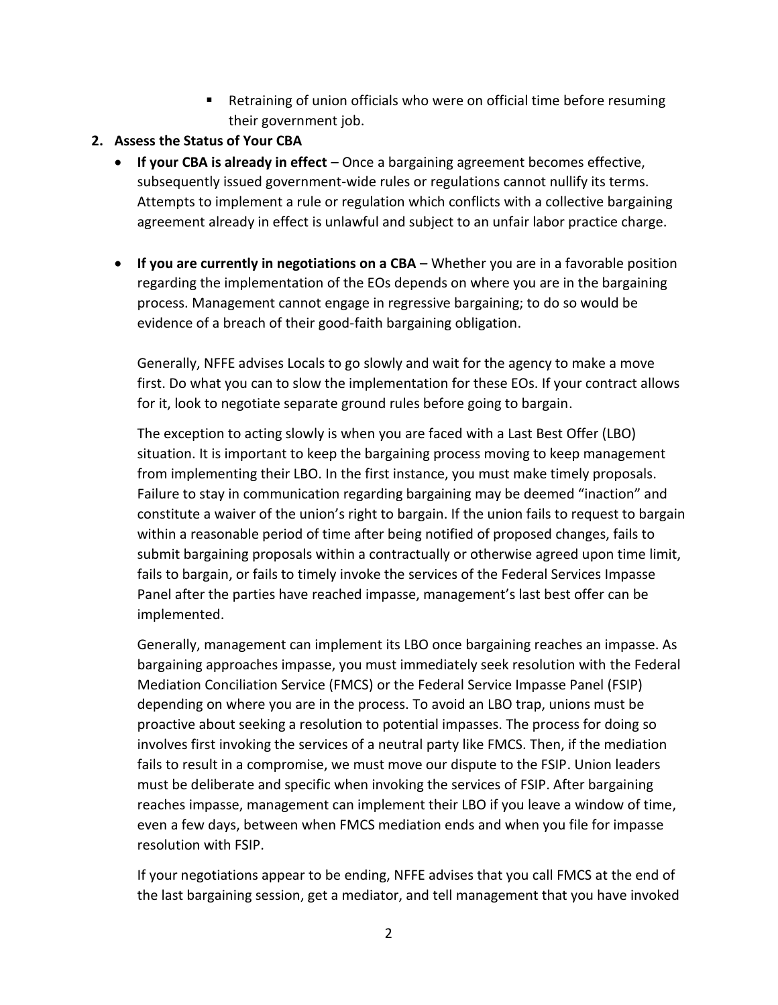- Retraining of union officials who were on official time before resuming their government job.
- **2. Assess the Status of Your CBA**
	- **If your CBA is already in effect**  Once a bargaining agreement becomes effective, subsequently issued government-wide rules or regulations cannot nullify its terms. Attempts to implement a rule or regulation which conflicts with a collective bargaining agreement already in effect is unlawful and subject to an unfair labor practice charge.
	- **If you are currently in negotiations on a CBA** Whether you are in a favorable position regarding the implementation of the EOs depends on where you are in the bargaining process. Management cannot engage in regressive bargaining; to do so would be evidence of a breach of their good-faith bargaining obligation.

Generally, NFFE advises Locals to go slowly and wait for the agency to make a move first. Do what you can to slow the implementation for these EOs. If your contract allows for it, look to negotiate separate ground rules before going to bargain.

The exception to acting slowly is when you are faced with a Last Best Offer (LBO) situation. It is important to keep the bargaining process moving to keep management from implementing their LBO. In the first instance, you must make timely proposals. Failure to stay in communication regarding bargaining may be deemed "inaction" and constitute a waiver of the union's right to bargain. If the union fails to request to bargain within a reasonable period of time after being notified of proposed changes, fails to submit bargaining proposals within a contractually or otherwise agreed upon time limit, fails to bargain, or fails to timely invoke the services of the Federal Services Impasse Panel after the parties have reached impasse, management's last best offer can be implemented.

Generally, management can implement its LBO once bargaining reaches an impasse. As bargaining approaches impasse, you must immediately seek resolution with the Federal Mediation Conciliation Service (FMCS) or the Federal Service Impasse Panel (FSIP) depending on where you are in the process. To avoid an LBO trap, unions must be proactive about seeking a resolution to potential impasses. The process for doing so involves first invoking the services of a neutral party like FMCS. Then, if the mediation fails to result in a compromise, we must move our dispute to the FSIP. Union leaders must be deliberate and specific when invoking the services of FSIP. After bargaining reaches impasse, management can implement their LBO if you leave a window of time, even a few days, between when FMCS mediation ends and when you file for impasse resolution with FSIP.

If your negotiations appear to be ending, NFFE advises that you call FMCS at the end of the last bargaining session, get a mediator, and tell management that you have invoked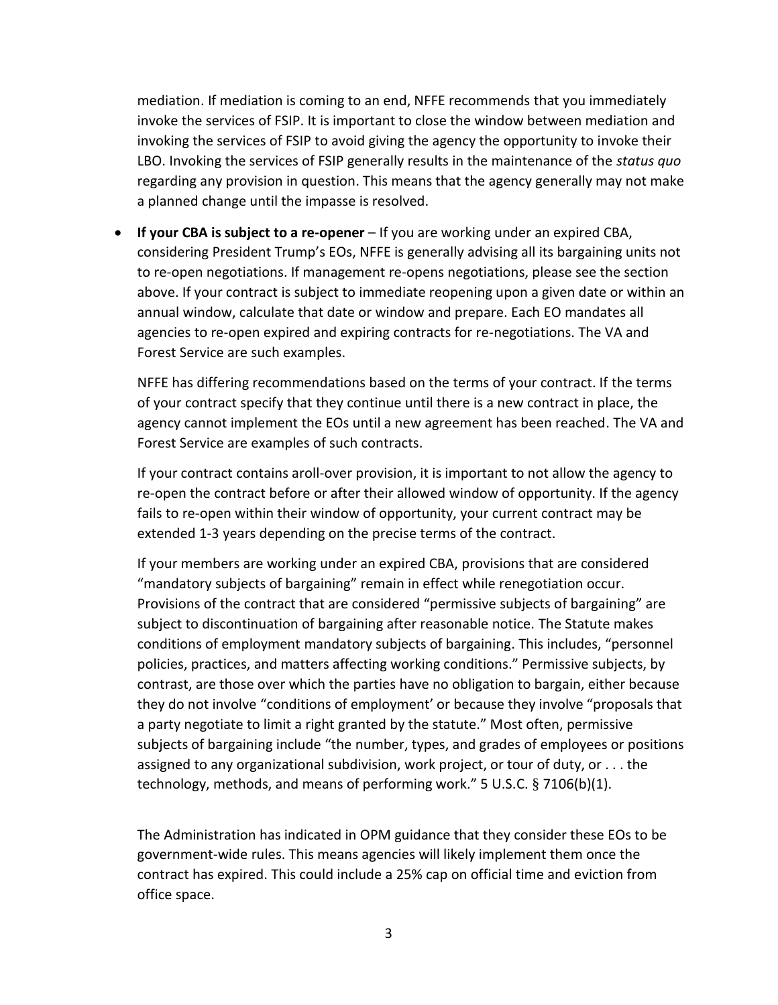mediation. If mediation is coming to an end, NFFE recommends that you immediately invoke the services of FSIP. It is important to close the window between mediation and invoking the services of FSIP to avoid giving the agency the opportunity to invoke their LBO. Invoking the services of FSIP generally results in the maintenance of the *status quo* regarding any provision in question. This means that the agency generally may not make a planned change until the impasse is resolved.

• **If your CBA is subject to a re-opener** – If you are working under an expired CBA, considering President Trump's EOs, NFFE is generally advising all its bargaining units not to re-open negotiations. If management re-opens negotiations, please see the section above. If your contract is subject to immediate reopening upon a given date or within an annual window, calculate that date or window and prepare. Each EO mandates all agencies to re-open expired and expiring contracts for re-negotiations. The VA and Forest Service are such examples.

NFFE has differing recommendations based on the terms of your contract. If the terms of your contract specify that they continue until there is a new contract in place, the agency cannot implement the EOs until a new agreement has been reached. The VA and Forest Service are examples of such contracts.

If your contract contains aroll-over provision, it is important to not allow the agency to re-open the contract before or after their allowed window of opportunity. If the agency fails to re-open within their window of opportunity, your current contract may be extended 1-3 years depending on the precise terms of the contract.

If your members are working under an expired CBA, provisions that are considered "mandatory subjects of bargaining" remain in effect while renegotiation occur. Provisions of the contract that are considered "permissive subjects of bargaining" are subject to discontinuation of bargaining after reasonable notice. The Statute makes conditions of employment mandatory subjects of bargaining. This includes, "personnel policies, practices, and matters affecting working conditions." Permissive subjects, by contrast, are those over which the parties have no obligation to bargain, either because they do not involve "conditions of employment' or because they involve "proposals that a party negotiate to limit a right granted by the statute." Most often, permissive subjects of bargaining include "the number, types, and grades of employees or positions assigned to any organizational subdivision, work project, or tour of duty, or . . . the technology, methods, and means of performing work." 5 U.S.C. § 7106(b)(1).

The Administration has indicated in OPM guidance that they consider these EOs to be government-wide rules. This means agencies will likely implement them once the contract has expired. This could include a 25% cap on official time and eviction from office space.